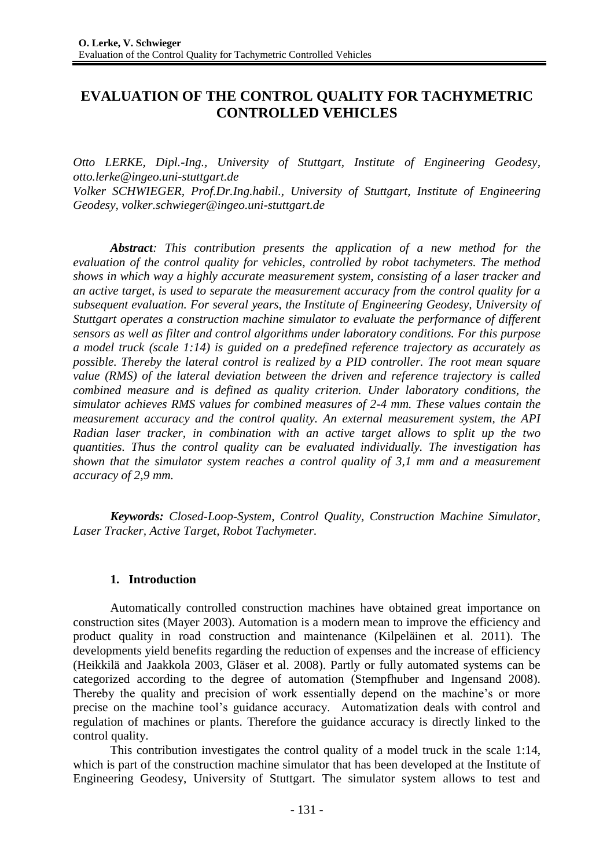# **EVALUATION OF THE CONTROL QUALITY FOR TACHYMETRIC CONTROLLED VEHICLES**

*Otto LERKE, Dipl.-Ing., University of Stuttgart, Institute of Engineering Geodesy, otto.lerke@ingeo.uni-stuttgart.de*

*Volker SCHWIEGER, Prof.Dr.Ing.habil., University of Stuttgart, Institute of Engineering Geodesy, volker.schwieger@ingeo.uni-stuttgart.de*

*Abstract: This contribution presents the application of a new method for the evaluation of the control quality for vehicles, controlled by robot tachymeters. The method shows in which way a highly accurate measurement system, consisting of a laser tracker and an active target, is used to separate the measurement accuracy from the control quality for a subsequent evaluation. For several years, the Institute of Engineering Geodesy, University of Stuttgart operates a construction machine simulator to evaluate the performance of different sensors as well as filter and control algorithms under laboratory conditions. For this purpose a model truck (scale 1:14) is guided on a predefined reference trajectory as accurately as possible. Thereby the lateral control is realized by a PID controller. The root mean square value (RMS) of the lateral deviation between the driven and reference trajectory is called combined measure and is defined as quality criterion. Under laboratory conditions, the simulator achieves RMS values for combined measures of 2-4 mm. These values contain the measurement accuracy and the control quality. An external measurement system, the API Radian laser tracker, in combination with an active target allows to split up the two quantities. Thus the control quality can be evaluated individually. The investigation has shown that the simulator system reaches a control quality of 3,1 mm and a measurement accuracy of 2,9 mm.*

*Keywords: Closed-Loop-System, Control Quality, Construction Machine Simulator, Laser Tracker, Active Target, Robot Tachymeter.*

### **1. Introduction**

Automatically controlled construction machines have obtained great importance on construction sites (Mayer 2003). Automation is a modern mean to improve the efficiency and product quality in road construction and maintenance (Kilpeläinen et al. 2011). The developments yield benefits regarding the reduction of expenses and the increase of efficiency (Heikkilä and Jaakkola 2003, Gläser et al. 2008). Partly or fully automated systems can be categorized according to the degree of automation (Stempfhuber and Ingensand 2008). Thereby the quality and precision of work essentially depend on the machine's or more precise on the machine tool's guidance accuracy. Automatization deals with control and regulation of machines or plants. Therefore the guidance accuracy is directly linked to the control quality.

This contribution investigates the control quality of a model truck in the scale 1:14, which is part of the construction machine simulator that has been developed at the Institute of Engineering Geodesy, University of Stuttgart. The simulator system allows to test and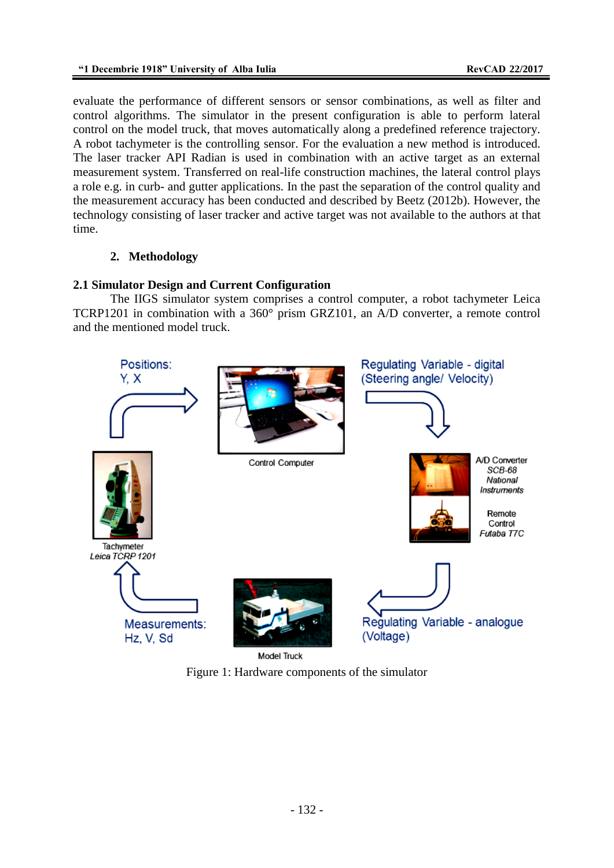evaluate the performance of different sensors or sensor combinations, as well as filter and control algorithms. The simulator in the present configuration is able to perform lateral control on the model truck, that moves automatically along a predefined reference trajectory. A robot tachymeter is the controlling sensor. For the evaluation a new method is introduced. The laser tracker API Radian is used in combination with an active target as an external measurement system. Transferred on real-life construction machines, the lateral control plays a role e.g. in curb- and gutter applications. In the past the separation of the control quality and the measurement accuracy has been conducted and described by Beetz (2012b). However, the technology consisting of laser tracker and active target was not available to the authors at that time.

# **2. Methodology**

# **2.1 Simulator Design and Current Configuration**

The IIGS simulator system comprises a control computer, a robot tachymeter Leica TCRP1201 in combination with a 360° prism GRZ101, an A/D converter, a remote control and the mentioned model truck.



Figure 1: Hardware components of the simulator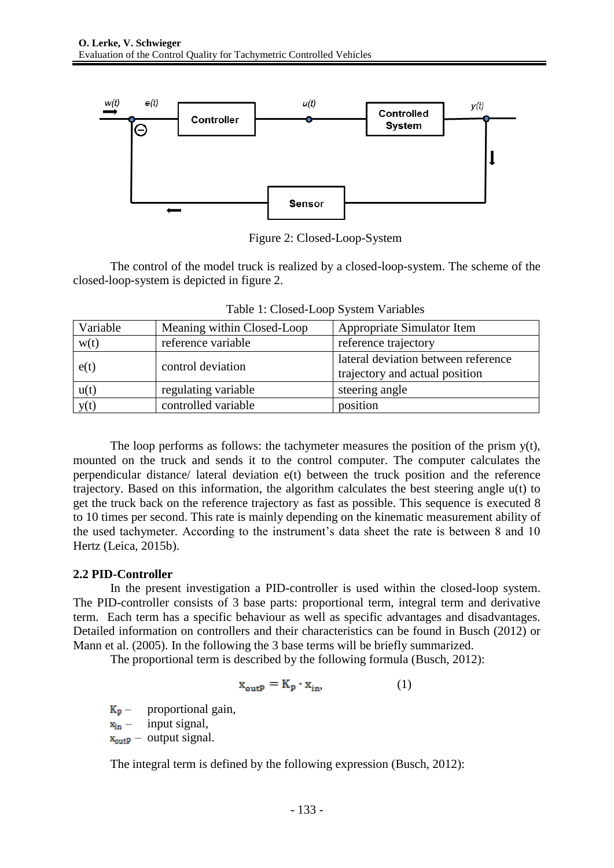

Figure 2: Closed-Loop-System

The control of the model truck is realized by a closed-loop-system. The scheme of the closed-loop-system is depicted in figure 2.

| Variable          | Meaning within Closed-Loop | Appropriate Simulator Item                                            |  |
|-------------------|----------------------------|-----------------------------------------------------------------------|--|
| w(t)              | reference variable         | reference trajectory                                                  |  |
| e(t)              | control deviation          | lateral deviation between reference<br>trajectory and actual position |  |
| u(t)              | regulating variable        | steering angle                                                        |  |
| $\overline{y(t)}$ | controlled variable        | position                                                              |  |

Table 1: Closed-Loop System Variables

The loop performs as follows: the tachymeter measures the position of the prism  $y(t)$ , mounted on the truck and sends it to the control computer. The computer calculates the perpendicular distance/ lateral deviation e(t) between the truck position and the reference trajectory. Based on this information, the algorithm calculates the best steering angle u(t) to get the truck back on the reference trajectory as fast as possible. This sequence is executed 8 to 10 times per second. This rate is mainly depending on the kinematic measurement ability of the used tachymeter. According to the instrument's data sheet the rate is between 8 and 10 Hertz (Leica, 2015b).

# **2.2 PID-Controller**

In the present investigation a PID-controller is used within the closed-loop system. The PID-controller consists of 3 base parts: proportional term, integral term and derivative term. Each term has a specific behaviour as well as specific advantages and disadvantages. Detailed information on controllers and their characteristics can be found in Busch (2012) or Mann et al. (2005). In the following the 3 base terms will be briefly summarized.

The proportional term is described by the following formula (Busch, 2012):

$$
\mathbf{x}_{\text{outP}} = \mathbf{K}_{\text{P}} \cdot \mathbf{x}_{\text{in}},\tag{1}
$$

 $K_{p}$  – proportional gain,  $x_{in}$  – input signal,

 $x_{\text{output}}$  – output signal.

The integral term is defined by the following expression (Busch, 2012):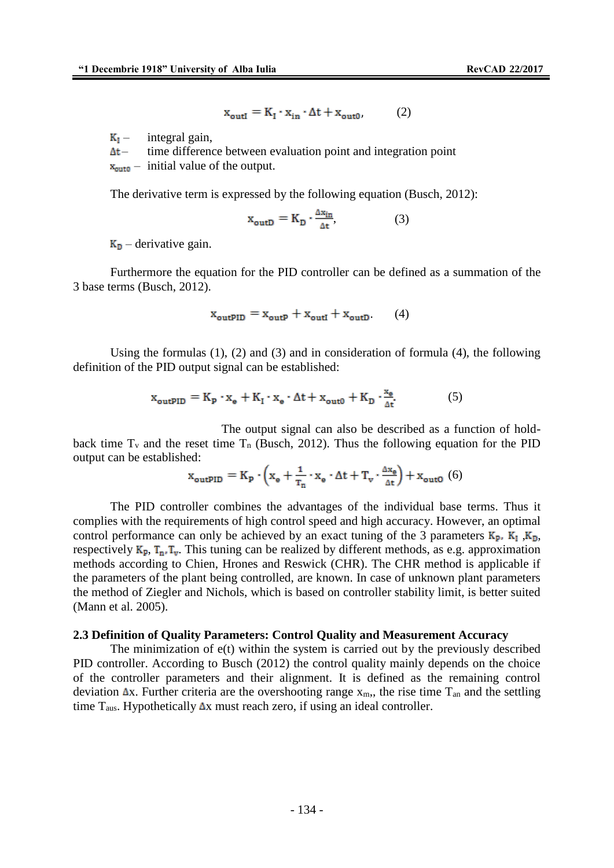$$
\mathbf{x}_{\text{outI}} = \mathbf{K}_{\text{I}} \cdot \mathbf{x}_{\text{in}} \cdot \Delta \mathbf{t} + \mathbf{x}_{\text{out0}} \tag{2}
$$

 $K_I$  – integral gain,

 $\Delta t$  – time difference between evaluation point and integration point

 $x_{\text{out0}}$  – initial value of the output.

The derivative term is expressed by the following equation (Busch, 2012):

$$
x_{\text{outD}} = K_{D} \cdot \frac{\Delta x_{\text{in}}}{\Delta t},\tag{3}
$$

 $K_{D}$  – derivative gain.

Furthermore the equation for the PID controller can be defined as a summation of the 3 base terms (Busch, 2012).

$$
x_{\text{outPID}} = x_{\text{outP}} + x_{\text{outI}} + x_{\text{outD}} \tag{4}
$$

Using the formulas  $(1)$ ,  $(2)$  and  $(3)$  and in consideration of formula  $(4)$ , the following definition of the PID output signal can be established:

$$
x_{\text{outPID}} = K_{p} \cdot x_{e} + K_{I} \cdot x_{e} \cdot \Delta t + x_{\text{out0}} + K_{D} \cdot \frac{x_{e}}{\Delta t}.
$$
 (5)

The output signal can also be described as a function of holdback time  $T_v$  and the reset time  $T_n$  (Busch, 2012). Thus the following equation for the PID output can be established:

$$
x_{\text{outPID}} = K_{\text{p}} \cdot \left( x_{\text{e}} + \frac{1}{T_{\text{n}}} \cdot x_{\text{e}} \cdot \Delta t + T_{\text{v}} \cdot \frac{\Delta x_{\text{e}}}{\Delta t} \right) + x_{\text{outO}} \tag{6}
$$

The PID controller combines the advantages of the individual base terms. Thus it complies with the requirements of high control speed and high accuracy. However, an optimal control performance can only be achieved by an exact tuning of the 3 parameters  $K_p$ ,  $K_l$ ,  $K_p$ , respectively  $K_p$ ,  $T_n$ ,  $T_v$ . This tuning can be realized by different methods, as e.g. approximation methods according to Chien, Hrones and Reswick (CHR). The CHR method is applicable if the parameters of the plant being controlled, are known. In case of unknown plant parameters the method of Ziegler and Nichols, which is based on controller stability limit, is better suited (Mann et al. 2005).

#### **2.3 Definition of Quality Parameters: Control Quality and Measurement Accuracy**

The minimization of  $e(t)$  within the system is carried out by the previously described PID controller. According to Busch (2012) the control quality mainly depends on the choice of the controller parameters and their alignment. It is defined as the remaining control deviation  $\Delta x$ . Further criteria are the overshooting range  $x_m$ ,, the rise time  $T_{an}$  and the settling time  $T_{\text{aus}}$ . Hypothetically  $\Delta x$  must reach zero, if using an ideal controller.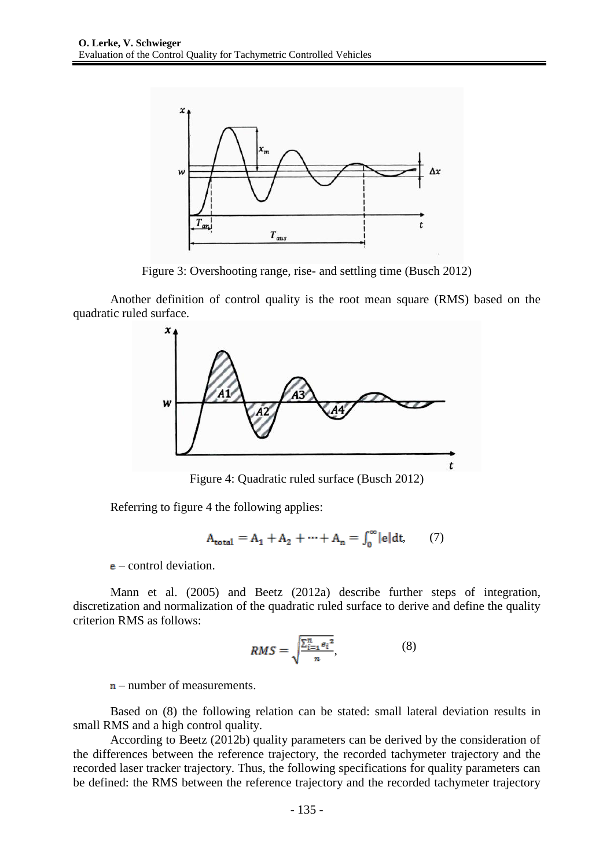

Figure 3: Overshooting range, rise- and settling time (Busch 2012)

Another definition of control quality is the root mean square (RMS) based on the quadratic ruled surface.



Figure 4: Quadratic ruled surface (Busch 2012)

Referring to figure 4 the following applies:

$$
A_{\text{total}} = A_1 + A_2 + \dots + A_n = \int_0^\infty |e| dt, \qquad (7)
$$

 $e$  – control deviation.

Mann et al. (2005) and Beetz (2012a) describe further steps of integration, discretization and normalization of the quadratic ruled surface to derive and define the quality criterion RMS as follows:

$$
RMS = \sqrt{\frac{\sum_{i=1}^{n} e_i^2}{n}},\tag{8}
$$

 $n$ – number of measurements.

Based on (8) the following relation can be stated: small lateral deviation results in small RMS and a high control quality.

According to Beetz (2012b) quality parameters can be derived by the consideration of the differences between the reference trajectory, the recorded tachymeter trajectory and the recorded laser tracker trajectory. Thus, the following specifications for quality parameters can be defined: the RMS between the reference trajectory and the recorded tachymeter trajectory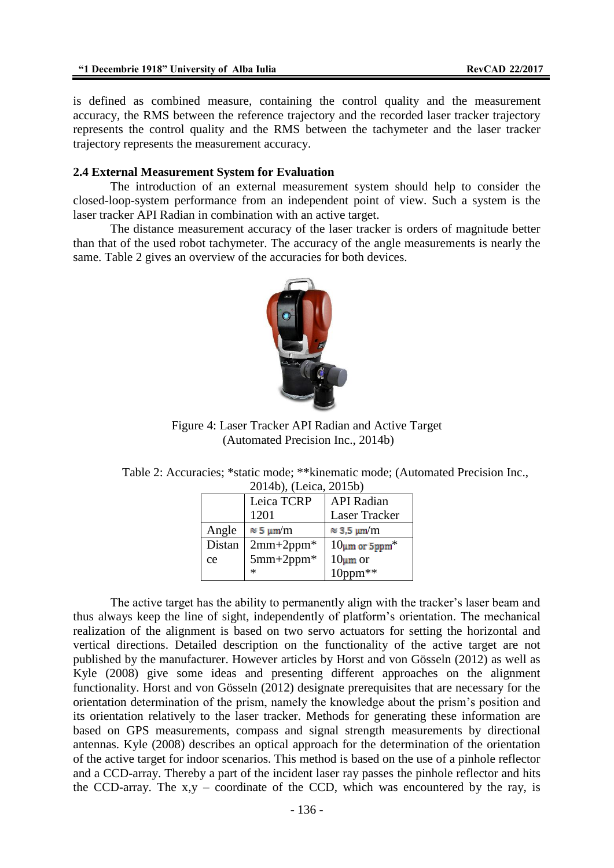is defined as combined measure, containing the control quality and the measurement accuracy, the RMS between the reference trajectory and the recorded laser tracker trajectory represents the control quality and the RMS between the tachymeter and the laser tracker trajectory represents the measurement accuracy.

#### **2.4 External Measurement System for Evaluation**

The introduction of an external measurement system should help to consider the closed-loop-system performance from an independent point of view. Such a system is the laser tracker API Radian in combination with an active target.

The distance measurement accuracy of the laser tracker is orders of magnitude better than that of the used robot tachymeter. The accuracy of the angle measurements is nearly the same. Table 2 gives an overview of the accuracies for both devices.



Figure 4: Laser Tracker API Radian and Active Target (Automated Precision Inc., 2014b)

| Table 2: Accuracies; *static mode; **kinematic mode; (Automated Precision Inc., |  |
|---------------------------------------------------------------------------------|--|
| 2014b), (Leica, 2015b)                                                          |  |

| $20110$ , (Leica, $20190$ ) |                  |                                 |  |  |
|-----------------------------|------------------|---------------------------------|--|--|
|                             | Leica TCRP       | <b>API</b> Radian               |  |  |
|                             | 1201             | Laser Tracker                   |  |  |
| Angle                       | $\approx$ 5 µm/m | $\approx$ 3,5 µm/m              |  |  |
| Distan                      | $2mm+2ppm*$      | $10 \mu m$ or 5ppm <sup>*</sup> |  |  |
| $5mm+2ppm*$<br>ce           |                  | $10 \mu m$ or                   |  |  |
|                             | $\ast$           | $10$ ppm $**$                   |  |  |

The active target has the ability to permanently align with the tracker's laser beam and thus always keep the line of sight, independently of platform's orientation. The mechanical realization of the alignment is based on two servo actuators for setting the horizontal and vertical directions. Detailed description on the functionality of the active target are not published by the manufacturer. However articles by Horst and von Gösseln (2012) as well as Kyle (2008) give some ideas and presenting different approaches on the alignment functionality. Horst and von Gösseln (2012) designate prerequisites that are necessary for the orientation determination of the prism, namely the knowledge about the prism's position and its orientation relatively to the laser tracker. Methods for generating these information are based on GPS measurements, compass and signal strength measurements by directional antennas. Kyle (2008) describes an optical approach for the determination of the orientation of the active target for indoor scenarios. This method is based on the use of a pinhole reflector and a CCD-array. Thereby a part of the incident laser ray passes the pinhole reflector and hits the CCD-array. The  $x,y$  – coordinate of the CCD, which was encountered by the ray, is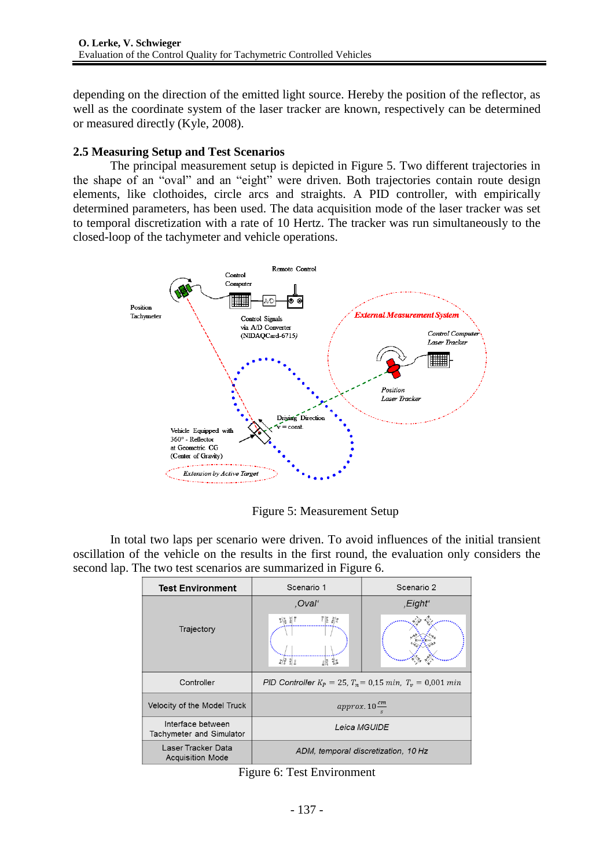depending on the direction of the emitted light source. Hereby the position of the reflector, as well as the coordinate system of the laser tracker are known, respectively can be determined or measured directly (Kyle, 2008).

## **2.5 Measuring Setup and Test Scenarios**

The principal measurement setup is depicted in Figure 5. Two different trajectories in the shape of an "oval" and an "eight" were driven. Both trajectories contain route design elements, like clothoides, circle arcs and straights. A PID controller, with empirically determined parameters, has been used. The data acquisition mode of the laser tracker was set to temporal discretization with a rate of 10 Hertz. The tracker was run simultaneously to the closed-loop of the tachymeter and vehicle operations.



Figure 5: Measurement Setup

In total two laps per scenario were driven. To avoid influences of the initial transient oscillation of the vehicle on the results in the first round, the evaluation only considers the second lap. The two test scenarios are summarized in Figure 6.

| <b>Test Environment</b>                       | Scenario 1                                                      | Scenario 2          |  |
|-----------------------------------------------|-----------------------------------------------------------------|---------------------|--|
|                                               | .Oval'                                                          | ,Eight <sup>"</sup> |  |
| Trajectory                                    | 죄통 칅종<br>$\bar{z}/\bar{\tilde{z}}$<br>$rac{36}{2}$<br>요리        |                     |  |
| Controller                                    | PID Controller $K_p = 25$ , $T_n = 0.15$ min, $T_v = 0.001$ min |                     |  |
| Velocity of the Model Truck                   | approx. $10 \frac{cm}{m}$                                       |                     |  |
| Interface between<br>Tachymeter and Simulator | Leica MGUIDE                                                    |                     |  |
| Laser Tracker Data<br><b>Acquisition Mode</b> | ADM, temporal discretization, 10 Hz                             |                     |  |

Figure 6: Test Environment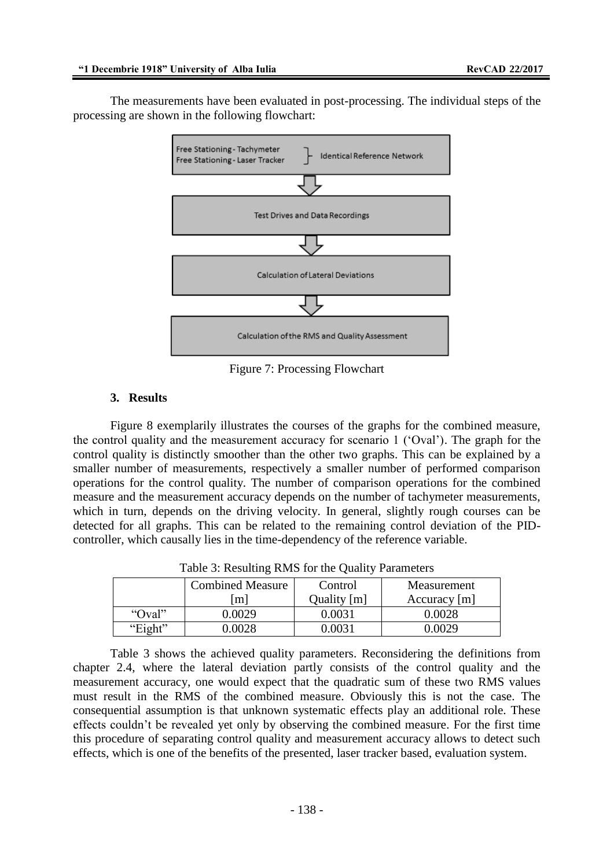The measurements have been evaluated in post-processing. The individual steps of the processing are shown in the following flowchart:



Figure 7: Processing Flowchart

## **3. Results**

Figure 8 exemplarily illustrates the courses of the graphs for the combined measure, the control quality and the measurement accuracy for scenario 1 ('Oval'). The graph for the control quality is distinctly smoother than the other two graphs. This can be explained by a smaller number of measurements, respectively a smaller number of performed comparison operations for the control quality. The number of comparison operations for the combined measure and the measurement accuracy depends on the number of tachymeter measurements, which in turn, depends on the driving velocity. In general, slightly rough courses can be detected for all graphs. This can be related to the remaining control deviation of the PIDcontroller, which causally lies in the time-dependency of the reference variable.

|  | Table 5. Resulting Rivid for the Quality I arameters |                         |             |                |  |  |
|--|------------------------------------------------------|-------------------------|-------------|----------------|--|--|
|  |                                                      | <b>Combined Measure</b> | Control     | Measurement    |  |  |
|  |                                                      | m                       | Quality [m] | Accuracy $[m]$ |  |  |
|  | "Oval"                                               | 0.0029                  | 0.0031      | 0.0028         |  |  |
|  | "Eight"                                              | 0.0028                  | 0.0031      | 0.0029         |  |  |

Table 3: Resulting RMS for the Quality Parameters

Table 3 shows the achieved quality parameters. Reconsidering the definitions from chapter 2.4, where the lateral deviation partly consists of the control quality and the measurement accuracy, one would expect that the quadratic sum of these two RMS values must result in the RMS of the combined measure. Obviously this is not the case. The consequential assumption is that unknown systematic effects play an additional role. These effects couldn't be revealed yet only by observing the combined measure. For the first time this procedure of separating control quality and measurement accuracy allows to detect such effects, which is one of the benefits of the presented, laser tracker based, evaluation system.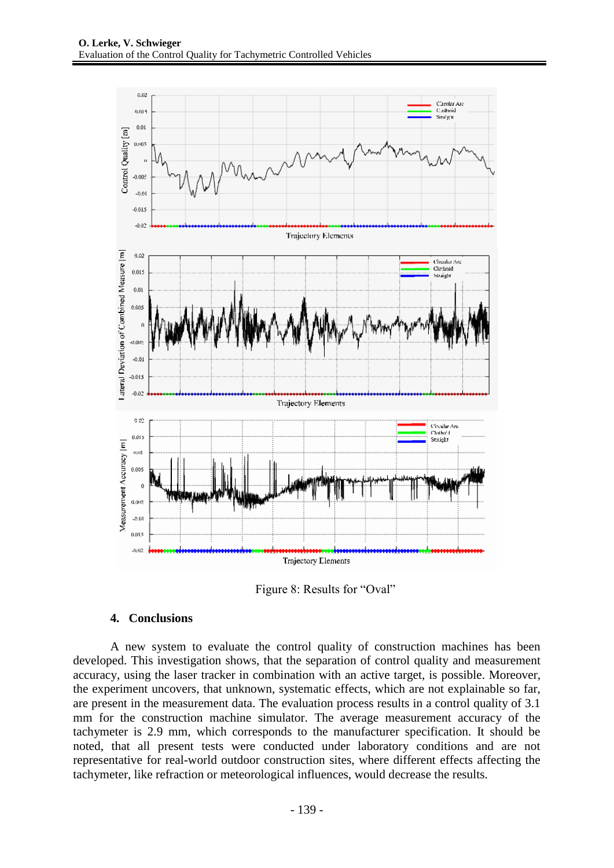

Figure 8: Results for "Oval"

### **4. Conclusions**

A new system to evaluate the control quality of construction machines has been developed. This investigation shows, that the separation of control quality and measurement accuracy, using the laser tracker in combination with an active target, is possible. Moreover, the experiment uncovers, that unknown, systematic effects, which are not explainable so far, are present in the measurement data. The evaluation process results in a control quality of 3.1 mm for the construction machine simulator. The average measurement accuracy of the tachymeter is 2.9 mm, which corresponds to the manufacturer specification. It should be noted, that all present tests were conducted under laboratory conditions and are not representative for real-world outdoor construction sites, where different effects affecting the tachymeter, like refraction or meteorological influences, would decrease the results.